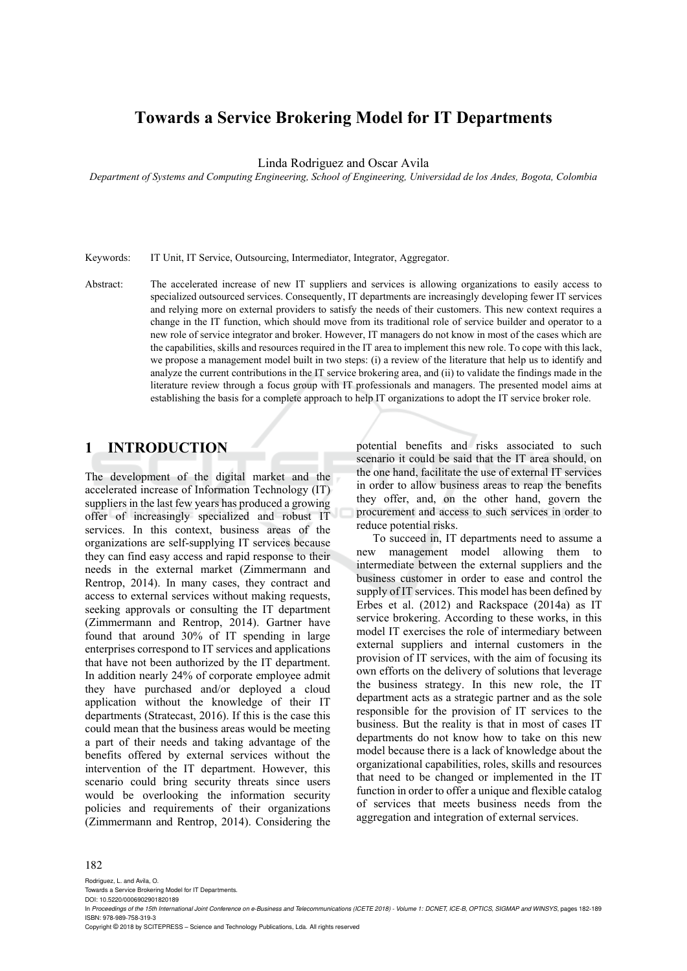# **Towards a Service Brokering Model for IT Departments**

Linda Rodriguez and Oscar Avila

*Department of Systems and Computing Engineering, School of Engineering, Universidad de los Andes, Bogota, Colombia* 

Keywords: IT Unit, IT Service, Outsourcing, Intermediator, Integrator, Aggregator.

Abstract: The accelerated increase of new IT suppliers and services is allowing organizations to easily access to specialized outsourced services. Consequently, IT departments are increasingly developing fewer IT services and relying more on external providers to satisfy the needs of their customers. This new context requires a change in the IT function, which should move from its traditional role of service builder and operator to a new role of service integrator and broker. However, IT managers do not know in most of the cases which are the capabilities, skills and resources required in the IT area to implement this new role. To cope with this lack, we propose a management model built in two steps: (i) a review of the literature that help us to identify and analyze the current contributions in the IT service brokering area, and (ii) to validate the findings made in the literature review through a focus group with IT professionals and managers. The presented model aims at establishing the basis for a complete approach to help IT organizations to adopt the IT service broker role.

# **1 INTRODUCTION**

The development of the digital market and the accelerated increase of Information Technology (IT) suppliers in the last few years has produced a growing offer of increasingly specialized and robust IT services. In this context, business areas of the organizations are self-supplying IT services because they can find easy access and rapid response to their needs in the external market (Zimmermann and Rentrop, 2014). In many cases, they contract and access to external services without making requests, seeking approvals or consulting the IT department (Zimmermann and Rentrop, 2014). Gartner have found that around 30% of IT spending in large enterprises correspond to IT services and applications that have not been authorized by the IT department. In addition nearly 24% of corporate employee admit they have purchased and/or deployed a cloud application without the knowledge of their IT departments (Stratecast, 2016). If this is the case this could mean that the business areas would be meeting a part of their needs and taking advantage of the benefits offered by external services without the intervention of the IT department. However, this scenario could bring security threats since users would be overlooking the information security policies and requirements of their organizations (Zimmermann and Rentrop, 2014). Considering the potential benefits and risks associated to such scenario it could be said that the IT area should, on the one hand, facilitate the use of external IT services in order to allow business areas to reap the benefits they offer, and, on the other hand, govern the procurement and access to such services in order to reduce potential risks.

To succeed in, IT departments need to assume a new management model allowing them to intermediate between the external suppliers and the business customer in order to ease and control the supply of IT services. This model has been defined by Erbes et al. (2012) and Rackspace (2014a) as IT service brokering. According to these works, in this model IT exercises the role of intermediary between external suppliers and internal customers in the provision of IT services, with the aim of focusing its own efforts on the delivery of solutions that leverage the business strategy. In this new role, the IT department acts as a strategic partner and as the sole responsible for the provision of IT services to the business. But the reality is that in most of cases IT departments do not know how to take on this new model because there is a lack of knowledge about the organizational capabilities, roles, skills and resources that need to be changed or implemented in the IT function in order to offer a unique and flexible catalog of services that meets business needs from the aggregation and integration of external services.

#### 182

Rodriguez, L. and Avila, O.

Towards a Service Brokering Model for IT Departments. DOI: 10.5220/0006902901820189

Copyright © 2018 by SCITEPRESS – Science and Technology Publications, Lda. All rights reserved

In *Proceedings of the 15th International Joint Conference on e-Business and Telecommunications (ICETE 2018) - Volume 1: DCNET, ICE-B, OPTICS, SIGMAP and WINSYS*, pages 182-189 ISBN: 978-989-758-319-3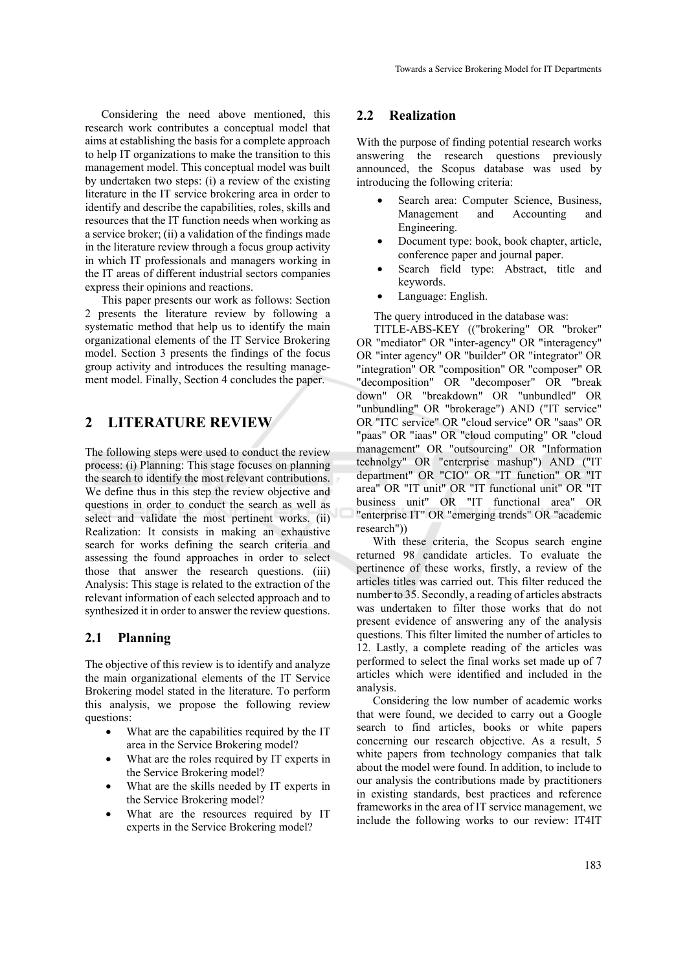Considering the need above mentioned, this research work contributes a conceptual model that aims at establishing the basis for a complete approach to help IT organizations to make the transition to this management model. This conceptual model was built by undertaken two steps: (i) a review of the existing literature in the IT service brokering area in order to identify and describe the capabilities, roles, skills and resources that the IT function needs when working as a service broker; (ii) a validation of the findings made in the literature review through a focus group activity in which IT professionals and managers working in the IT areas of different industrial sectors companies express their opinions and reactions.

This paper presents our work as follows: Section 2 presents the literature review by following a systematic method that help us to identify the main organizational elements of the IT Service Brokering model. Section 3 presents the findings of the focus group activity and introduces the resulting management model. Finally, Section 4 concludes the paper.

# **2 LITERATURE REVIEW**

The following steps were used to conduct the review process: (i) Planning: This stage focuses on planning the search to identify the most relevant contributions. We define thus in this step the review objective and questions in order to conduct the search as well as select and validate the most pertinent works. (ii) Realization: It consists in making an exhaustive search for works defining the search criteria and assessing the found approaches in order to select those that answer the research questions. (iii) Analysis: This stage is related to the extraction of the relevant information of each selected approach and to synthesized it in order to answer the review questions.

## **2.1 Planning**

The objective of this review is to identify and analyze the main organizational elements of the IT Service Brokering model stated in the literature. To perform this analysis, we propose the following review questions:

- What are the capabilities required by the IT area in the Service Brokering model?
- What are the roles required by IT experts in the Service Brokering model?
- What are the skills needed by IT experts in the Service Brokering model?
- What are the resources required by IT experts in the Service Brokering model?

#### **2.2 Realization**

With the purpose of finding potential research works answering the research questions previously announced, the Scopus database was used by introducing the following criteria:

- Search area: Computer Science, Business, Management and Accounting and Engineering.
- Document type: book, book chapter, article, conference paper and journal paper.
- Search field type: Abstract, title and keywords.
- Language: English.

The query introduced in the database was:

TITLE-ABS-KEY (("brokering" OR "broker" OR "mediator" OR "inter-agency" OR "interagency" OR "inter agency" OR "builder" OR "integrator" OR "integration" OR "composition" OR "composer" OR "decomposition" OR "decomposer" OR "break down" OR "breakdown" OR "unbundled" OR "unbundling" OR "brokerage") AND ("IT service" OR "ITC service" OR "cloud service" OR "saas" OR "paas" OR "iaas" OR "cloud computing" OR "cloud management" OR "outsourcing" OR "Information technolgy" OR "enterprise mashup") AND ("IT department" OR "CIO" OR "IT function" OR "IT area" OR "IT unit" OR "IT functional unit" OR "IT business unit" OR "IT functional area" OR "enterprise IT" OR "emerging trends" OR "academic research"))

With these criteria, the Scopus search engine returned 98 candidate articles. To evaluate the pertinence of these works, firstly, a review of the articles titles was carried out. This filter reduced the number to 35. Secondly, a reading of articles abstracts was undertaken to filter those works that do not present evidence of answering any of the analysis questions. This filter limited the number of articles to 12. Lastly, a complete reading of the articles was performed to select the final works set made up of 7 articles which were identified and included in the analysis.

Considering the low number of academic works that were found, we decided to carry out a Google search to find articles, books or white papers concerning our research objective. As a result, 5 white papers from technology companies that talk about the model were found. In addition, to include to our analysis the contributions made by practitioners in existing standards, best practices and reference frameworks in the area of IT service management, we include the following works to our review: IT4IT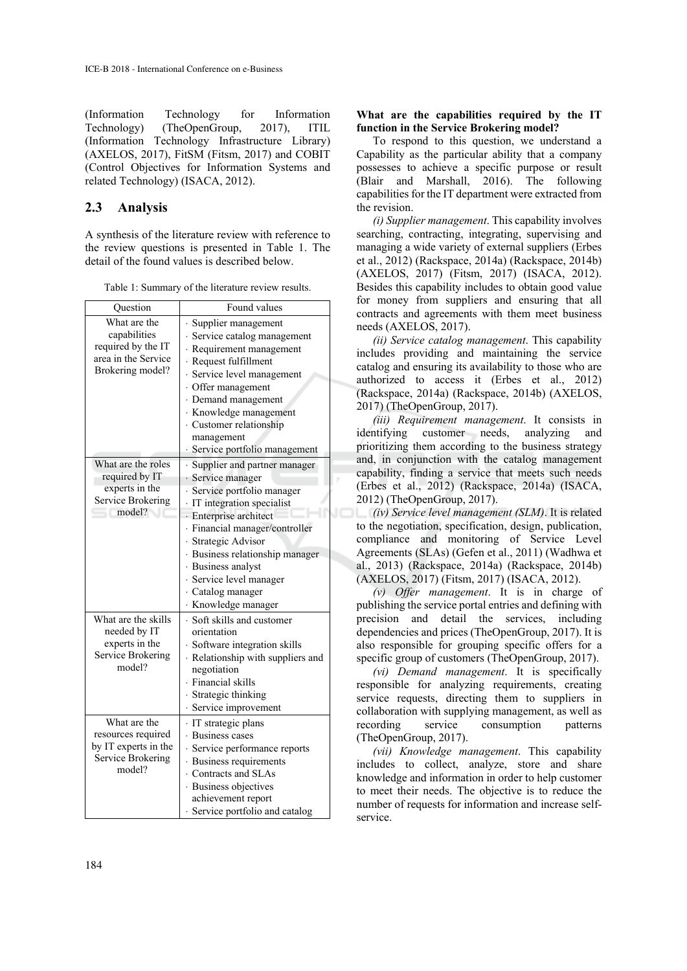(Information Technology for Information<br>Technology) (TheOpenGroup, 2017), ITIL Technology) (TheOpenGroup, 2017), ITIL (Information Technology Infrastructure Library) (AXELOS, 2017), FitSM (Fitsm, 2017) and COBIT (Control Objectives for Information Systems and related Technology) (ISACA, 2012).

## **2.3 Analysis**

A synthesis of the literature review with reference to the review questions is presented in Table 1. The detail of the found values is described below.

| Pavie 1. Summary 01 the merature review                                                       |                                                                                                                                                                                                                                                                                                                                      |
|-----------------------------------------------------------------------------------------------|--------------------------------------------------------------------------------------------------------------------------------------------------------------------------------------------------------------------------------------------------------------------------------------------------------------------------------------|
| Ouestion                                                                                      | Found values                                                                                                                                                                                                                                                                                                                         |
| What are the<br>capabilities<br>required by the IT<br>area in the Service<br>Brokering model? | · Supplier management<br>· Service catalog management<br>· Requirement management<br>· Request fulfillment<br>· Service level management<br>Offer management<br>· Demand management<br>· Knowledge management<br>· Customer relationship<br>management<br>· Service portfolio management                                             |
| What are the roles<br>required by IT<br>experts in the<br>Service Brokering<br>model?         | · Supplier and partner manager<br>· Service manager<br>· Service portfolio manager<br>· IT integration specialist<br>· Enterprise architect<br>· Financial manager/controller<br>· Strategic Advisor<br>· Business relationship manager<br>· Business analyst<br>· Service level manager<br>· Catalog manager<br>· Knowledge manager |
| What are the skills<br>needed by IT<br>experts in the<br>Service Brokering<br>model?          | · Soft skills and customer<br>orientation<br>· Software integration skills<br>· Relationship with suppliers and<br>negotiation<br>· Financial skills<br>· Strategic thinking<br>· Service improvement                                                                                                                                |
| What are the<br>resources required<br>by IT experts in the<br>Service Brokering<br>model?     | · IT strategic plans<br>· Business cases<br>· Service performance reports<br>· Business requirements<br>Contracts and SLAs<br>· Business objectives<br>achievement report<br>· Service portfolio and catalog                                                                                                                         |

Table 1: Summary of the literature review results.

#### **What are the capabilities required by the IT function in the Service Brokering model?**

To respond to this question, we understand a Capability as the particular ability that a company possesses to achieve a specific purpose or result (Blair and Marshall, 2016). The following capabilities for the IT department were extracted from the revision.

*(i) Supplier management*. This capability involves searching, contracting, integrating, supervising and managing a wide variety of external suppliers (Erbes et al., 2012) (Rackspace, 2014a) (Rackspace, 2014b) (AXELOS, 2017) (Fitsm, 2017) (ISACA, 2012). Besides this capability includes to obtain good value for money from suppliers and ensuring that all contracts and agreements with them meet business needs (AXELOS, 2017).

*(ii) Service catalog management*. This capability includes providing and maintaining the service catalog and ensuring its availability to those who are authorized to access it (Erbes et al., 2012) (Rackspace, 2014a) (Rackspace, 2014b) (AXELOS, 2017) (TheOpenGroup, 2017).

*(iii) Requirement management*. It consists in identifying customer needs, analyzing and prioritizing them according to the business strategy and, in conjunction with the catalog management capability, finding a service that meets such needs (Erbes et al., 2012) (Rackspace, 2014a) (ISACA, 2012) (TheOpenGroup, 2017).

*(iv) Service level management (SLM)*. It is related to the negotiation, specification, design, publication, compliance and monitoring of Service Level Agreements (SLAs) (Gefen et al., 2011) (Wadhwa et al., 2013) (Rackspace, 2014a) (Rackspace, 2014b) (AXELOS, 2017) (Fitsm, 2017) (ISACA, 2012).

*(v) Offer management*. It is in charge of publishing the service portal entries and defining with precision and detail the services, including dependencies and prices (TheOpenGroup, 2017). It is also responsible for grouping specific offers for a specific group of customers (TheOpenGroup, 2017).

*(vi) Demand management*. It is specifically responsible for analyzing requirements, creating service requests, directing them to suppliers in collaboration with supplying management, as well as recording service consumption patterns (TheOpenGroup, 2017).

*(vii) Knowledge management*. This capability includes to collect, analyze, store and share knowledge and information in order to help customer to meet their needs. The objective is to reduce the number of requests for information and increase selfservice.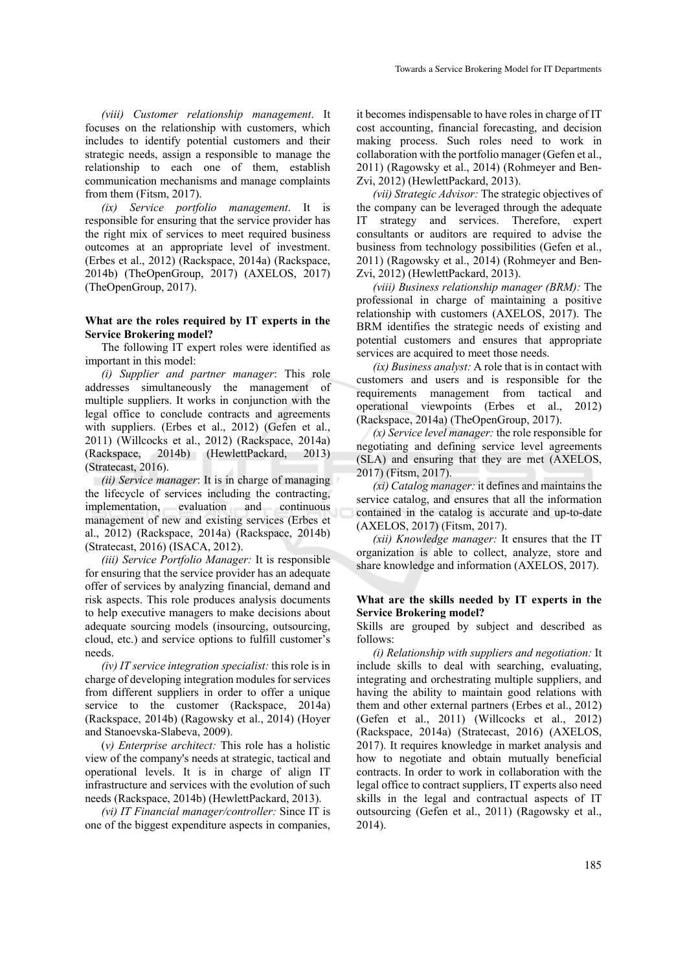*(viii) Customer relationship management*. It focuses on the relationship with customers, which includes to identify potential customers and their strategic needs, assign a responsible to manage the relationship to each one of them, establish communication mechanisms and manage complaints from them (Fitsm, 2017).

*(ix) Service portfolio management*. It is responsible for ensuring that the service provider has the right mix of services to meet required business outcomes at an appropriate level of investment. (Erbes et al., 2012) (Rackspace, 2014a) (Rackspace, 2014b) (TheOpenGroup, 2017) (AXELOS, 2017) (TheOpenGroup, 2017).

#### **What are the roles required by IT experts in the Service Brokering model?**

The following IT expert roles were identified as important in this model:

*(i) Supplier and partner manager*: This role addresses simultaneously the management of multiple suppliers. It works in conjunction with the legal office to conclude contracts and agreements with suppliers. (Erbes et al., 2012) (Gefen et al., 2011) (Willcocks et al., 2012) (Rackspace, 2014a) (Rackspace, 2014b) (HewlettPackard, 2013) (Stratecast, 2016).

*(ii) Service manager*: It is in charge of managing the lifecycle of services including the contracting, implementation, evaluation and continuous management of new and existing services (Erbes et al., 2012) (Rackspace, 2014a) (Rackspace, 2014b) (Stratecast, 2016) (ISACA, 2012).

*(iii) Service Portfolio Manager:* It is responsible for ensuring that the service provider has an adequate offer of services by analyzing financial, demand and risk aspects. This role produces analysis documents to help executive managers to make decisions about adequate sourcing models (insourcing, outsourcing, cloud, etc.) and service options to fulfill customer's needs.

*(iv) IT service integration specialist:* this role is in charge of developing integration modules for services from different suppliers in order to offer a unique service to the customer (Rackspace, 2014a) (Rackspace, 2014b) (Ragowsky et al., 2014) (Hoyer and Stanoevska-Slabeva, 2009).

(*v) Enterprise architect:* This role has a holistic view of the company's needs at strategic, tactical and operational levels. It is in charge of align IT infrastructure and services with the evolution of such needs (Rackspace, 2014b) (HewlettPackard, 2013).

*(vi) IT Financial manager/controller:* Since IT is one of the biggest expenditure aspects in companies,

it becomes indispensable to have roles in charge of IT cost accounting, financial forecasting, and decision making process. Such roles need to work in collaboration with the portfolio manager (Gefen et al., 2011) (Ragowsky et al., 2014) (Rohmeyer and Ben-Zvi, 2012) (HewlettPackard, 2013).

*(vii) Strategic Advisor:* The strategic objectives of the company can be leveraged through the adequate IT strategy and services. Therefore, expert consultants or auditors are required to advise the business from technology possibilities (Gefen et al., 2011) (Ragowsky et al., 2014) (Rohmeyer and Ben-Zvi, 2012) (HewlettPackard, 2013).

*(viii) Business relationship manager (BRM):* The professional in charge of maintaining a positive relationship with customers (AXELOS, 2017). The BRM identifies the strategic needs of existing and potential customers and ensures that appropriate services are acquired to meet those needs.

*(ix) Business analyst:* A role that is in contact with customers and users and is responsible for the requirements management from tactical and operational viewpoints (Erbes et al., 2012) (Rackspace, 2014a) (TheOpenGroup, 2017).

*(x) Service level manager:* the role responsible for negotiating and defining service level agreements (SLA) and ensuring that they are met (AXELOS, 2017) (Fitsm, 2017).

*(xi) Catalog manager:* it defines and maintains the service catalog, and ensures that all the information contained in the catalog is accurate and up-to-date (AXELOS, 2017) (Fitsm, 2017).

*(xii) Knowledge manager:* It ensures that the IT organization is able to collect, analyze, store and share knowledge and information (AXELOS, 2017).

#### **What are the skills needed by IT experts in the Service Brokering model?**

Skills are grouped by subject and described as follows:

*(i) Relationship with suppliers and negotiation:* It include skills to deal with searching, evaluating, integrating and orchestrating multiple suppliers, and having the ability to maintain good relations with them and other external partners (Erbes et al., 2012) (Gefen et al., 2011) (Willcocks et al., 2012) (Rackspace, 2014a) (Stratecast, 2016) (AXELOS, 2017). It requires knowledge in market analysis and how to negotiate and obtain mutually beneficial contracts. In order to work in collaboration with the legal office to contract suppliers, IT experts also need skills in the legal and contractual aspects of IT outsourcing (Gefen et al., 2011) (Ragowsky et al., 2014).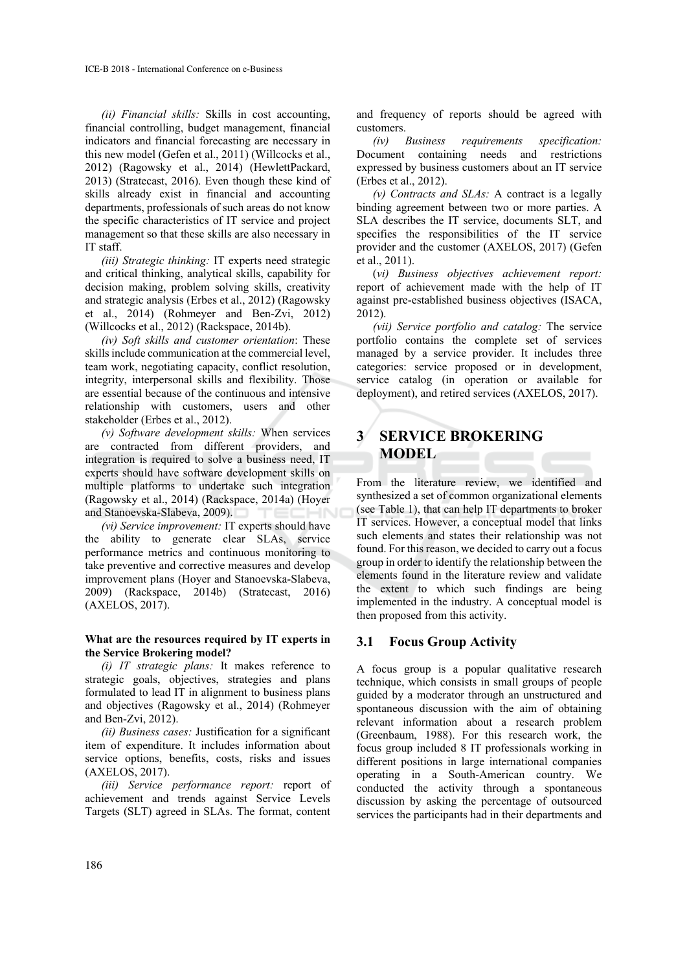*(ii) Financial skills:* Skills in cost accounting, financial controlling, budget management, financial indicators and financial forecasting are necessary in this new model (Gefen et al., 2011) (Willcocks et al., 2012) (Ragowsky et al., 2014) (HewlettPackard, 2013) (Stratecast, 2016). Even though these kind of skills already exist in financial and accounting departments, professionals of such areas do not know the specific characteristics of IT service and project management so that these skills are also necessary in IT staff.

*(iii) Strategic thinking:* IT experts need strategic and critical thinking, analytical skills, capability for decision making, problem solving skills, creativity and strategic analysis (Erbes et al., 2012) (Ragowsky et al., 2014) (Rohmeyer and Ben-Zvi, 2012) (Willcocks et al., 2012) (Rackspace, 2014b).

*(iv) Soft skills and customer orientation*: These skills include communication at the commercial level, team work, negotiating capacity, conflict resolution, integrity, interpersonal skills and flexibility. Those are essential because of the continuous and intensive relationship with customers, users and other stakeholder (Erbes et al., 2012).

*(v) Software development skills:* When services are contracted from different providers, and integration is required to solve a business need, IT experts should have software development skills on multiple platforms to undertake such integration (Ragowsky et al., 2014) (Rackspace, 2014a) (Hoyer and Stanoevska-Slabeva, 2009).

*(vi) Service improvement:* IT experts should have the ability to generate clear SLAs, service performance metrics and continuous monitoring to take preventive and corrective measures and develop improvement plans (Hoyer and Stanoevska-Slabeva, 2009) (Rackspace, 2014b) (Stratecast, 2016) (AXELOS, 2017).

#### **What are the resources required by IT experts in the Service Brokering model?**

*(i) IT strategic plans:* It makes reference to strategic goals, objectives, strategies and plans formulated to lead IT in alignment to business plans and objectives (Ragowsky et al., 2014) (Rohmeyer and Ben-Zvi, 2012).

*(ii) Business cases:* Justification for a significant item of expenditure. It includes information about service options, benefits, costs, risks and issues (AXELOS, 2017).

*(iii) Service performance report:* report of achievement and trends against Service Levels Targets (SLT) agreed in SLAs. The format, content

and frequency of reports should be agreed with customers.

*(iv) Business requirements specification:* Document containing needs and restrictions expressed by business customers about an IT service (Erbes et al., 2012).

*(v) Contracts and SLAs:* A contract is a legally binding agreement between two or more parties. A SLA describes the IT service, documents SLT, and specifies the responsibilities of the IT service provider and the customer (AXELOS, 2017) (Gefen et al., 2011).

(*vi) Business objectives achievement report:* report of achievement made with the help of IT against pre-established business objectives (ISACA, 2012).

*(vii) Service portfolio and catalog:* The service portfolio contains the complete set of services managed by a service provider. It includes three categories: service proposed or in development, service catalog (in operation or available for deployment), and retired services (AXELOS, 2017).

# **3 SERVICE BROKERING MODEL**

From the literature review, we identified and synthesized a set of common organizational elements (see Table 1), that can help IT departments to broker IT services. However, a conceptual model that links such elements and states their relationship was not found. For this reason, we decided to carry out a focus group in order to identify the relationship between the elements found in the literature review and validate the extent to which such findings are being implemented in the industry. A conceptual model is then proposed from this activity.

## **3.1 Focus Group Activity**

A focus group is a popular qualitative research technique, which consists in small groups of people guided by a moderator through an unstructured and spontaneous discussion with the aim of obtaining relevant information about a research problem (Greenbaum, 1988). For this research work, the focus group included 8 IT professionals working in different positions in large international companies operating in a South-American country. We conducted the activity through a spontaneous discussion by asking the percentage of outsourced services the participants had in their departments and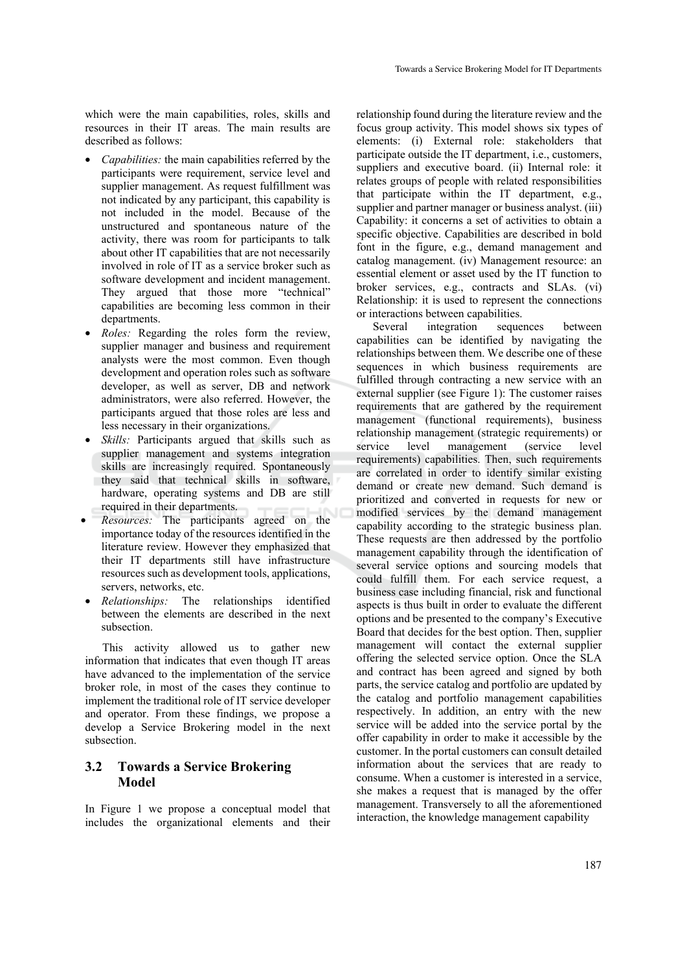which were the main capabilities, roles, skills and resources in their IT areas. The main results are described as follows:

- *Capabilities:* the main capabilities referred by the participants were requirement, service level and supplier management. As request fulfillment was not indicated by any participant, this capability is not included in the model. Because of the unstructured and spontaneous nature of the activity, there was room for participants to talk about other IT capabilities that are not necessarily involved in role of IT as a service broker such as software development and incident management. They argued that those more "technical" capabilities are becoming less common in their departments.
- *Roles:* Regarding the roles form the review, supplier manager and business and requirement analysts were the most common. Even though development and operation roles such as software developer, as well as server, DB and network administrators, were also referred. However, the participants argued that those roles are less and less necessary in their organizations.
- *Skills:* Participants argued that skills such as supplier management and systems integration skills are increasingly required. Spontaneously they said that technical skills in software, hardware, operating systems and DB are still required in their departments.
- *Resources:* The participants agreed on the importance today of the resources identified in the literature review. However they emphasized that their IT departments still have infrastructure resources such as development tools, applications, servers, networks, etc.
- *Relationships:* The relationships identified between the elements are described in the next subsection.

This activity allowed us to gather new information that indicates that even though IT areas have advanced to the implementation of the service broker role, in most of the cases they continue to implement the traditional role of IT service developer and operator. From these findings, we propose a develop a Service Brokering model in the next subsection.

### **3.2 Towards a Service Brokering Model**

In Figure 1 we propose a conceptual model that includes the organizational elements and their

relationship found during the literature review and the focus group activity. This model shows six types of elements: (i) External role: stakeholders that participate outside the IT department, i.e., customers, suppliers and executive board. (ii) Internal role: it relates groups of people with related responsibilities that participate within the IT department, e.g., supplier and partner manager or business analyst. (iii) Capability: it concerns a set of activities to obtain a specific objective. Capabilities are described in bold font in the figure, e.g., demand management and catalog management. (iv) Management resource: an essential element or asset used by the IT function to broker services, e.g., contracts and SLAs. (vi) Relationship: it is used to represent the connections or interactions between capabilities.

Several integration sequences between capabilities can be identified by navigating the relationships between them. We describe one of these sequences in which business requirements are fulfilled through contracting a new service with an external supplier (see Figure 1): The customer raises requirements that are gathered by the requirement management (functional requirements), business relationship management (strategic requirements) or service level management (service level requirements) capabilities. Then, such requirements are correlated in order to identify similar existing demand or create new demand. Such demand is prioritized and converted in requests for new or modified services by the demand management capability according to the strategic business plan. These requests are then addressed by the portfolio management capability through the identification of several service options and sourcing models that could fulfill them. For each service request, a business case including financial, risk and functional aspects is thus built in order to evaluate the different options and be presented to the company's Executive Board that decides for the best option. Then, supplier management will contact the external supplier offering the selected service option. Once the SLA and contract has been agreed and signed by both parts, the service catalog and portfolio are updated by the catalog and portfolio management capabilities respectively. In addition, an entry with the new service will be added into the service portal by the offer capability in order to make it accessible by the customer. In the portal customers can consult detailed information about the services that are ready to consume. When a customer is interested in a service, she makes a request that is managed by the offer management. Transversely to all the aforementioned interaction, the knowledge management capability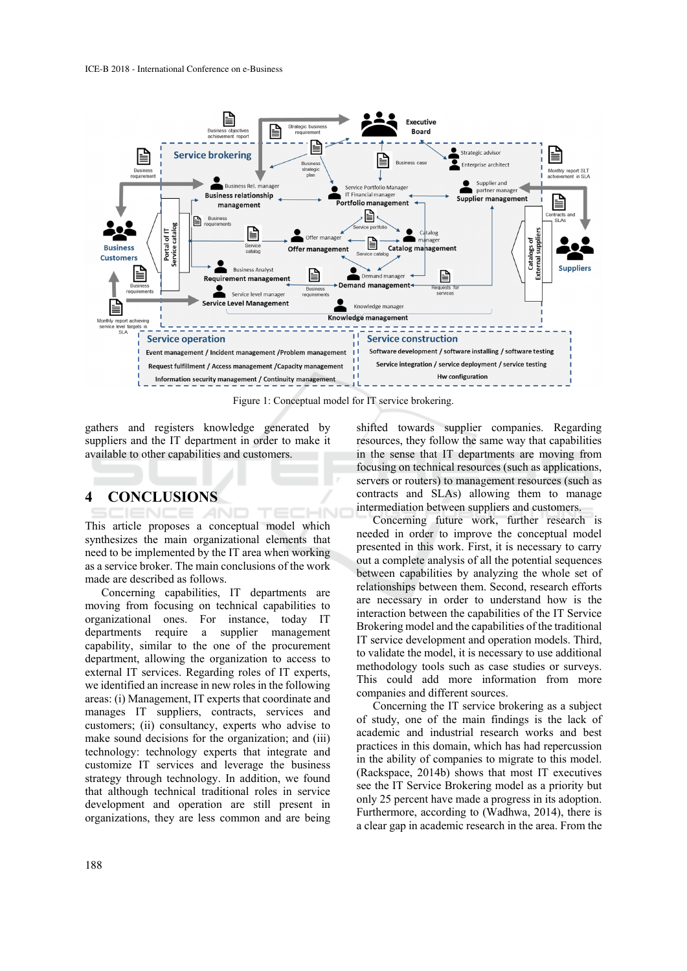

Figure 1: Conceptual model for IT service brokering.

gathers and registers knowledge generated by suppliers and the IT department in order to make it available to other capabilities and customers.

## **4 CONCLUSIONS**

AND This article proposes a conceptual model which synthesizes the main organizational elements that need to be implemented by the IT area when working as a service broker. The main conclusions of the work made are described as follows.

Concerning capabilities, IT departments are moving from focusing on technical capabilities to organizational ones. For instance, today IT departments require a supplier management capability, similar to the one of the procurement department, allowing the organization to access to external IT services. Regarding roles of IT experts, we identified an increase in new roles in the following areas: (i) Management, IT experts that coordinate and manages IT suppliers, contracts, services and customers; (ii) consultancy, experts who advise to make sound decisions for the organization; and (iii) technology: technology experts that integrate and customize IT services and leverage the business strategy through technology. In addition, we found that although technical traditional roles in service development and operation are still present in organizations, they are less common and are being

shifted towards supplier companies. Regarding resources, they follow the same way that capabilities in the sense that IT departments are moving from focusing on technical resources (such as applications, servers or routers) to management resources (such as contracts and SLAs) allowing them to manage intermediation between suppliers and customers.

Concerning future work, further research is needed in order to improve the conceptual model presented in this work. First, it is necessary to carry out a complete analysis of all the potential sequences between capabilities by analyzing the whole set of relationships between them. Second, research efforts are necessary in order to understand how is the interaction between the capabilities of the IT Service Brokering model and the capabilities of the traditional IT service development and operation models. Third, to validate the model, it is necessary to use additional methodology tools such as case studies or surveys. This could add more information from more companies and different sources.

Concerning the IT service brokering as a subject of study, one of the main findings is the lack of academic and industrial research works and best practices in this domain, which has had repercussion in the ability of companies to migrate to this model. (Rackspace, 2014b) shows that most IT executives see the IT Service Brokering model as a priority but only 25 percent have made a progress in its adoption. Furthermore, according to (Wadhwa, 2014), there is a clear gap in academic research in the area. From the